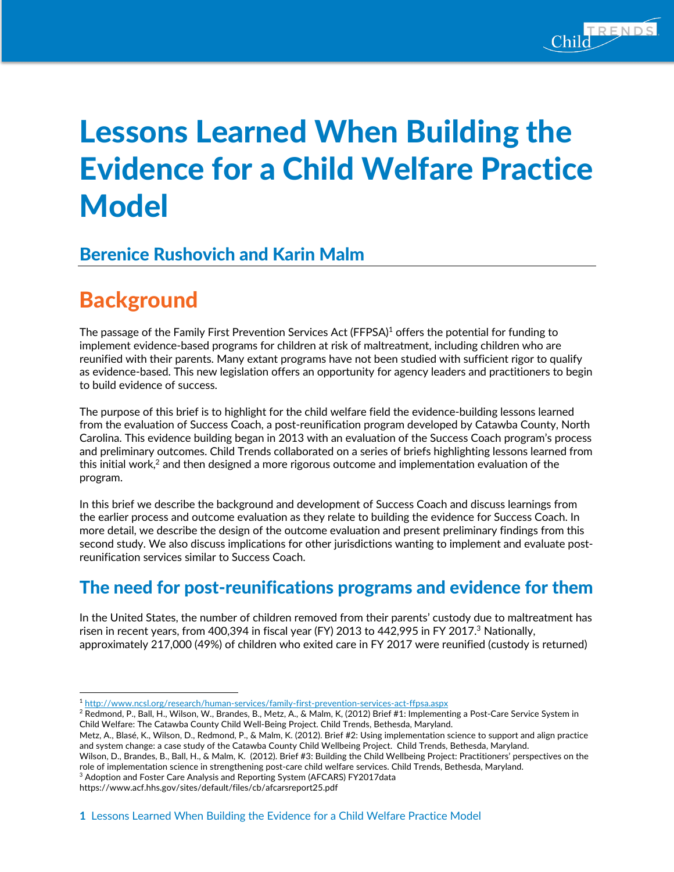

# Lessons Learned When Building the Evidence for a Child Welfare Practice **Model**

### Berenice Rushovich and Karin Malm

## **Background**

The passage of the Family First Prevention Services Act (FFPSA)<sup>1</sup> offers the potential for funding to implement evidence-based programs for children at risk of maltreatment, including children who are reunified with their parents. Many extant programs have not been studied with sufficient rigor to qualify as evidence-based. This new legislation offers an opportunity for agency leaders and practitioners to begin to build evidence of success.

The purpose of this brief is to highlight for the child welfare field the evidence-building lessons learned from the evaluation of Success Coach, a post-reunification program developed by Catawba County, North Carolina. This evidence building began in 2013 with an evaluation of the Success Coach program's process and preliminary outcomes. Child Trends collaborated on a series of briefs highlighting lessons learned from this initial work, <sup>2</sup> and then designed a more rigorous outcome and implementation evaluation of the program.

In this brief we describe the background and development of Success Coach and discuss learnings from the earlier process and outcome evaluation as they relate to building the evidence for Success Coach. In more detail, we describe the design of the outcome evaluation and present preliminary findings from this second study. We also discuss implications for other jurisdictions wanting to implement and evaluate postreunification services similar to Success Coach.

### The need for post-reunifications programs and evidence for them

In the United States, the number of children removed from their parents' custody due to maltreatment has risen in recent years, from 400,394 in fiscal year (FY) 2013 to 442,995 in FY 2017.<sup>3</sup> Nationally, approximately 217,000 (49%) of children who exited care in FY 2017 were reunified (custody is returned)

https://www.acf.hhs.gov/sites/default/files/cb/afcarsreport25.pdf

 <sup>1</sup> http://www.ncsl.org/research/human-services/family-first-prevention-services-act-ffpsa.aspx

<sup>&</sup>lt;sup>2</sup> Redmond, P., Ball, H., Wilson, W., Brandes, B., Metz, A., & Malm, K, (2012) Brief #1: Implementing a Post-Care Service System in Child Welfare: The Catawba County Child Well-Being Project. Child Trends, Bethesda, Maryland.

Metz, A., Blasé, K., Wilson, D., Redmond, P., & Malm, K. (2012). Brief #2: Using implementation science to support and align practice and system change: a case study of the Catawba County Child Wellbeing Project. Child Trends, Bethesda, Maryland.

Wilson, D., Brandes, B., Ball, H., & Malm, K. (2012). Brief #3: Building the Child Wellbeing Project: Practitioners' perspectives on the role of implementation science in strengthening post-care child welfare services. Child Trends, Bethesda, Maryland.  $^3$  Adoption and Foster Care Analysis and Reporting System (AFCARS) FY2017data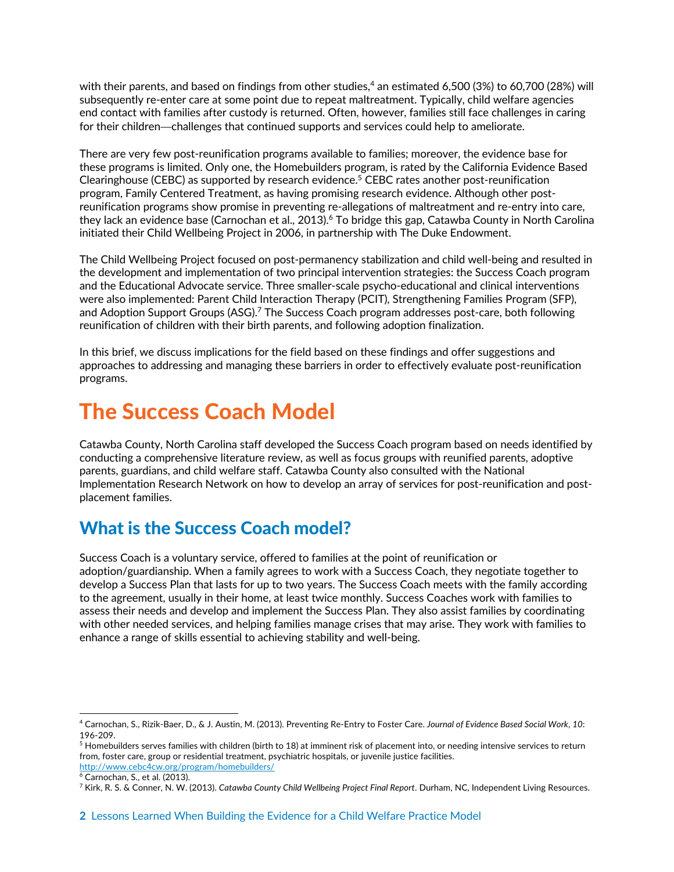with their parents, and based on findings from other studies, <sup>4</sup> an estimated 6,500 (3%) to 60,700 (28%) will subsequently re-enter care at some point due to repeat maltreatment. Typically, child welfare agencies end contact with families after custody is returned. Often, however, families still face challenges in caring for their children—challenges that continued supports and services could help to ameliorate.

There are very few post-reunification programs available to families; moreover, the evidence base for these programs is limited. Only one, the Homebuilders program, is rated by the California Evidence Based Clearinghouse (CEBC) as supported by research evidence.<sup>5</sup> CEBC rates another post-reunification program, Family Centered Treatment, as having promising research evidence. Although other postreunification programs show promise in preventing re-allegations of maltreatment and re-entry into care, they lack an evidence base (Carnochan et al., 2013). <sup>6</sup> To bridge this gap, Catawba County in North Carolina initiated their Child Wellbeing Project in 2006, in partnership with The Duke Endowment.

The Child Wellbeing Project focused on post-permanency stabilization and child well-being and resulted in the development and implementation of two principal intervention strategies: the Success Coach program and the Educational Advocate service. Three smaller-scale psycho-educational and clinical interventions were also implemented: Parent Child Interaction Therapy (PCIT), Strengthening Families Program (SFP), and Adoption Support Groups (ASG). <sup>7</sup> The Success Coach program addresses post-care, both following reunification of children with their birth parents, and following adoption finalization.

In this brief, we discuss implications for the field based on these findings and offer suggestions and approaches to addressing and managing these barriers in order to effectively evaluate post-reunification programs.

## The Success Coach Model

Catawba County, North Carolina staff developed the Success Coach program based on needs identified by conducting a comprehensive literature review, as well as focus groups with reunified parents, adoptive parents, guardians, and child welfare staff. Catawba County also consulted with the National Implementation Research Network on how to develop an array of services for post-reunification and postplacement families.

### What is the Success Coach model?

Success Coach is a voluntary service, offered to families at the point of reunification or adoption/guardianship. When a family agrees to work with a Success Coach, they negotiate together to develop a Success Plan that lasts for up to two years. The Success Coach meets with the family according to the agreement, usually in their home, at least twice monthly. Success Coaches work with families to assess their needs and develop and implement the Success Plan. They also assist families by coordinating with other needed services, and helping families manage crises that may arise. They work with families to enhance a range of skills essential to achieving stability and well-being.

 <sup>4</sup> Carnochan, S., Rizik-Baer, D., & J. Austin, M. (2013). Preventing Re-Entry to Foster Care. *Journal of Evidence Based Social Work*, *10*: 196-209.

<sup>&</sup>lt;sup>5</sup> Homebuilders serves families with children (birth to 18) at imminent risk of placement into, or needing intensive services to return from, foster care, group or residential treatment, psychiatric hospitals, or juvenile justice facilities.

http://www.cebc4cw.org/program/homebuilders/

 $<sup>6</sup>$  Carnochan, S., et al. (2013).</sup>

<sup>7</sup> Kirk, R. S. & Conner, N. W. (2013). *Catawba County Child Wellbeing Project Final Report*. Durham, NC, Independent Living Resources.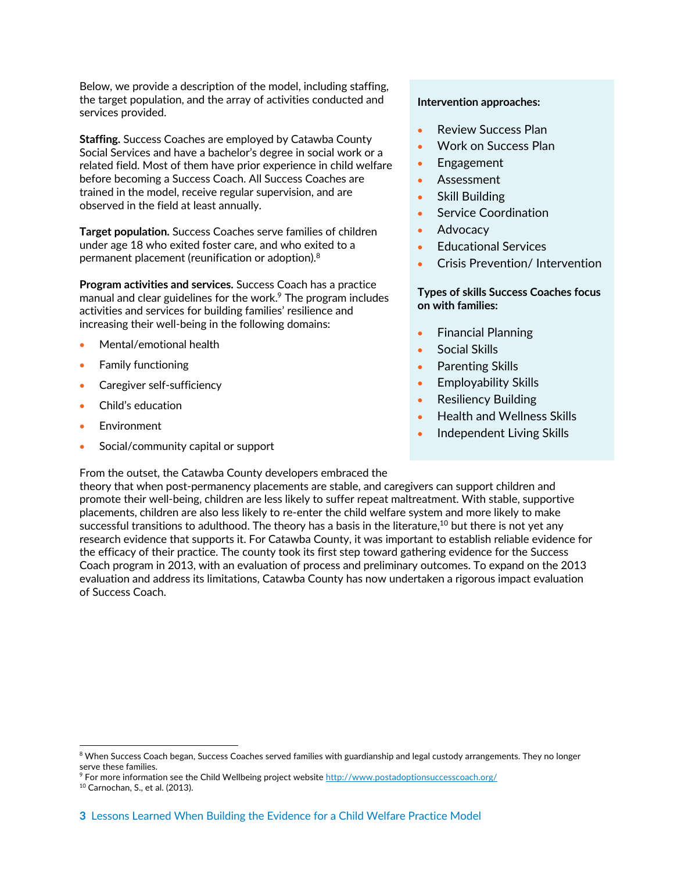Below, we provide a description of the model, including staffing, the target population, and the array of activities conducted and services provided.

**Staffing.** Success Coaches are employed by Catawba County Social Services and have a bachelor's degree in social work or a related field. Most of them have prior experience in child welfare before becoming a Success Coach. All Success Coaches are trained in the model, receive regular supervision, and are observed in the field at least annually.

**Target population.** Success Coaches serve families of children under age 18 who exited foster care, and who exited to a permanent placement (reunification or adoption). $^8$ 

**Program activities and services.** Success Coach has a practice manual and clear guidelines for the work. $9$  The program includes activities and services for building families' resilience and increasing their well-being in the following domains:

- Mental/emotional health
- Family functioning
- Caregiver self-sufficiency
- Child's education
- **Environment**

of Success Coach.

• Social/community capital or support

#### From the outset, the Catawba County developers embraced the

#### **Intervention approaches:**

- Review Success Plan
- Work on Success Plan
- Engagement
- Assessment
- Skill Building
- Service Coordination
- Advocacy
- Educational Services
- Crisis Prevention/ Intervention

#### **Types of skills Success Coaches focus on with families:**

- Financial Planning
- Social Skills
- Parenting Skills
- Employability Skills
- Resiliency Building
- Health and Wellness Skills
- Independent Living Skills

<sup>8</sup> When Success Coach began, Success Coaches served families with guardianship and legal custody arrangements. They no longer serve these families.

theory that when post-permanency placements are stable, and caregivers can support children and promote their well-being, children are less likely to suffer repeat maltreatment. With stable, supportive placements, children are also less likely to re-enter the child welfare system and more likely to make successful transitions to adulthood. The theory has a basis in the literature, <sup>10</sup> but there is not yet any research evidence that supports it. For Catawba County, it was important to establish reliable evidence for the efficacy of their practice. The county took its first step toward gathering evidence for the Success Coach program in 2013, with an evaluation of process and preliminary outcomes. To expand on the 2013 evaluation and address its limitations, Catawba County has now undertaken a rigorous impact evaluation

<sup>9</sup> For more information see the Child Wellbeing project website http://www.postadoptionsuccesscoach.org/

<sup>10</sup> Carnochan, S., et al. (2013).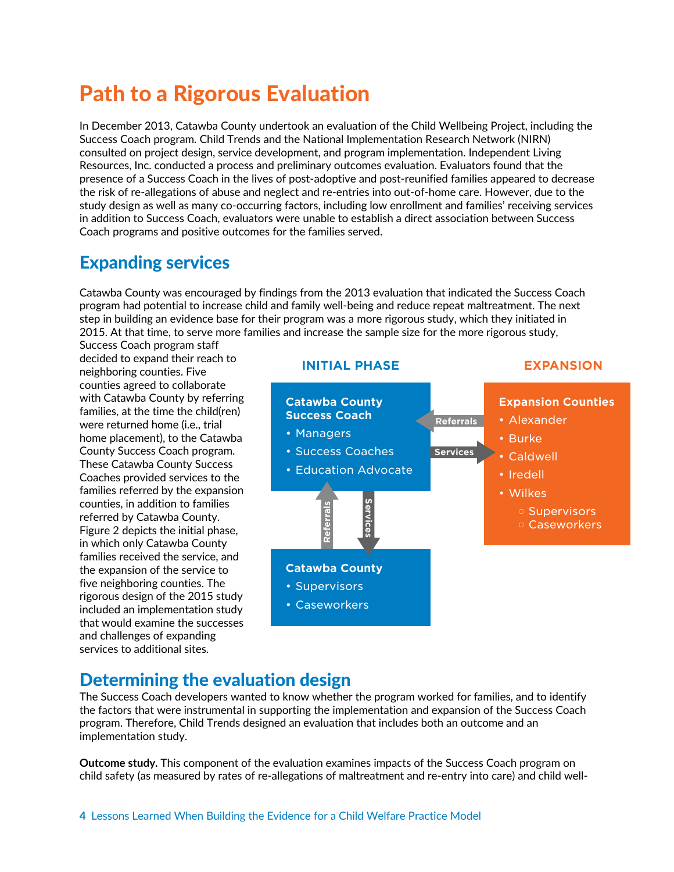## Path to a Rigorous Evaluation

In December 2013, Catawba County undertook an evaluation of the Child Wellbeing Project, including the Success Coach program. Child Trends and the National Implementation Research Network (NIRN) consulted on project design, service development, and program implementation. Independent Living Resources, Inc. conducted a process and preliminary outcomes evaluation. Evaluators found that the presence of a Success Coach in the lives of post-adoptive and post-reunified families appeared to decrease the risk of re-allegations of abuse and neglect and re-entries into out-of-home care. However, due to the study design as well as many co-occurring factors, including low enrollment and families' receiving services in addition to Success Coach, evaluators were unable to establish a direct association between Success Coach programs and positive outcomes for the families served.

### Expanding services

Catawba County was encouraged by findings from the 2013 evaluation that indicated the Success Coach program had potential to increase child and family well-being and reduce repeat maltreatment. The next step in building an evidence base for their program was a more rigorous study, which they initiated in 2015. At that time, to serve more families and increase the sample size for the more rigorous study,

Success Coach program staff decided to expand their reach to neighboring counties. Five counties agreed to collaborate with Catawba County by referring families, at the time the child(ren) were returned home (i.e., trial home placement), to the Catawba County Success Coach program. These Catawba County Success Coaches provided services to the families referred by the expansion counties, in addition to families referred by Catawba County. Figure 2 depicts the initial phase, in which only Catawba County families received the service, and the expansion of the service to five neighboring counties. The rigorous design of the 2015 study included an implementation study that would examine the successes and challenges of expanding services to additional sites.



### Determining the evaluation design

The Success Coach developers wanted to know whether the program worked for families, and to identify the factors that were instrumental in supporting the implementation and expansion of the Success Coach program. Therefore, Child Trends designed an evaluation that includes both an outcome and an implementation study.

**Outcome study.** This component of the evaluation examines impacts of the Success Coach program on child safety (as measured by rates of re-allegations of maltreatment and re-entry into care) and child well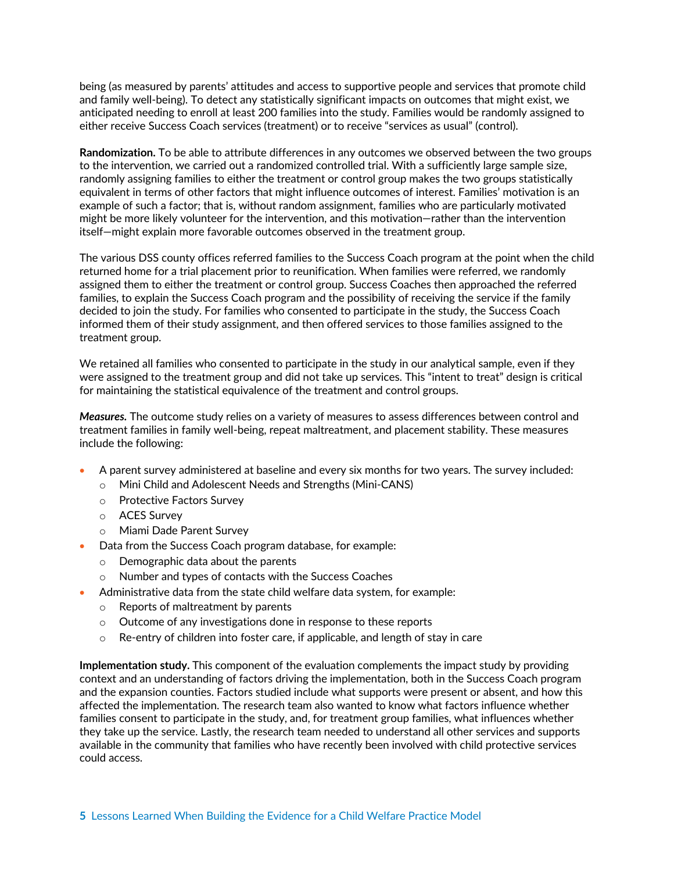being (as measured by parents' attitudes and access to supportive people and services that promote child and family well-being). To detect any statistically significant impacts on outcomes that might exist, we anticipated needing to enroll at least 200 families into the study. Families would be randomly assigned to either receive Success Coach services (treatment) or to receive "services as usual" (control).

**Randomization.** To be able to attribute differences in any outcomes we observed between the two groups to the intervention, we carried out a randomized controlled trial. With a sufficiently large sample size, randomly assigning families to either the treatment or control group makes the two groups statistically equivalent in terms of other factors that might influence outcomes of interest. Families' motivation is an example of such a factor; that is, without random assignment, families who are particularly motivated might be more likely volunteer for the intervention, and this motivation—rather than the intervention itself—might explain more favorable outcomes observed in the treatment group.

The various DSS county offices referred families to the Success Coach program at the point when the child returned home for a trial placement prior to reunification. When families were referred, we randomly assigned them to either the treatment or control group. Success Coaches then approached the referred families, to explain the Success Coach program and the possibility of receiving the service if the family decided to join the study. For families who consented to participate in the study, the Success Coach informed them of their study assignment, and then offered services to those families assigned to the treatment group.

We retained all families who consented to participate in the study in our analytical sample, even if they were assigned to the treatment group and did not take up services. This "intent to treat" design is critical for maintaining the statistical equivalence of the treatment and control groups.

*Measures.* The outcome study relies on a variety of measures to assess differences between control and treatment families in family well-being, repeat maltreatment, and placement stability. These measures include the following:

- A parent survey administered at baseline and every six months for two years. The survey included:
	- o Mini Child and Adolescent Needs and Strengths (Mini-CANS)
	- o Protective Factors Survey
	- o ACES Survey
	- o Miami Dade Parent Survey
- Data from the Success Coach program database, for example:
	- o Demographic data about the parents
	- o Number and types of contacts with the Success Coaches
- Administrative data from the state child welfare data system, for example:
	- o Reports of maltreatment by parents
	- o Outcome of any investigations done in response to these reports
	- $\circ$  Re-entry of children into foster care, if applicable, and length of stay in care

**Implementation study.** This component of the evaluation complements the impact study by providing context and an understanding of factors driving the implementation, both in the Success Coach program and the expansion counties. Factors studied include what supports were present or absent, and how this affected the implementation. The research team also wanted to know what factors influence whether families consent to participate in the study, and, for treatment group families, what influences whether they take up the service. Lastly, the research team needed to understand all other services and supports available in the community that families who have recently been involved with child protective services could access.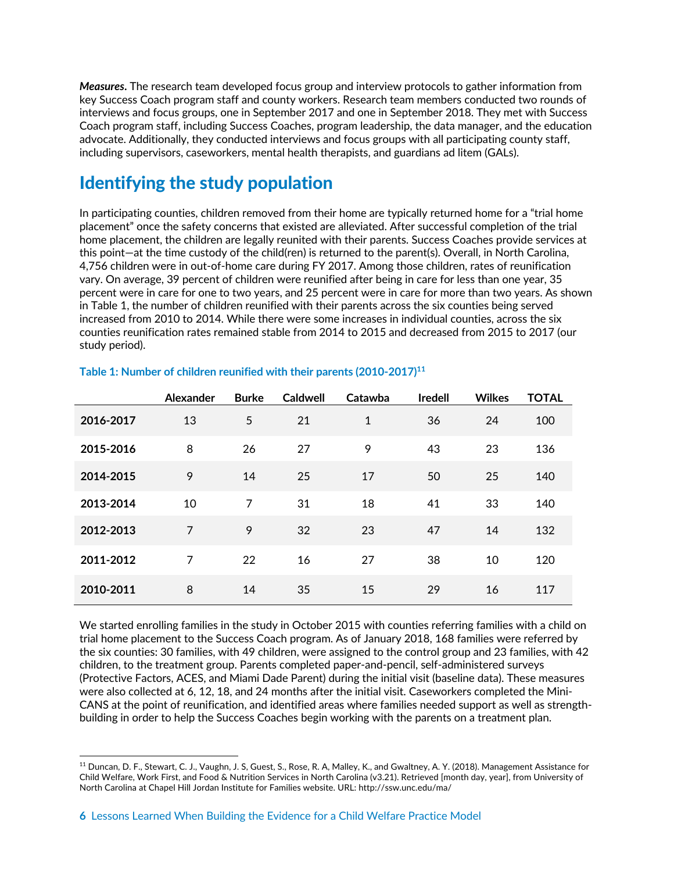*Measures***.** The research team developed focus group and interview protocols to gather information from key Success Coach program staff and county workers. Research team members conducted two rounds of interviews and focus groups, one in September 2017 and one in September 2018. They met with Success Coach program staff, including Success Coaches, program leadership, the data manager, and the education advocate. Additionally, they conducted interviews and focus groups with all participating county staff, including supervisors, caseworkers, mental health therapists, and guardians ad litem (GALs).

### Identifying the study population

In participating counties, children removed from their home are typically returned home for a "trial home placement" once the safety concerns that existed are alleviated. After successful completion of the trial home placement, the children are legally reunited with their parents. Success Coaches provide services at this point—at the time custody of the child(ren) is returned to the parent(s). Overall, in North Carolina, 4,756 children were in out-of-home care during FY 2017. Among those children, rates of reunification vary. On average, 39 percent of children were reunified after being in care for less than one year, 35 percent were in care for one to two years, and 25 percent were in care for more than two years. As shown in Table 1, the number of children reunified with their parents across the six counties being served increased from 2010 to 2014. While there were some increases in individual counties, across the six counties reunification rates remained stable from 2014 to 2015 and decreased from 2015 to 2017 (our study period).

|           | Alexander | <b>Burke</b> | <b>Caldwell</b> | Catawba      | <b>Iredell</b> | <b>Wilkes</b> | <b>TOTAL</b> |
|-----------|-----------|--------------|-----------------|--------------|----------------|---------------|--------------|
| 2016-2017 | 13        | 5            | 21              | $\mathbf{1}$ | 36             | 24            | 100          |
| 2015-2016 | 8         | 26           | 27              | 9            | 43             | 23            | 136          |
| 2014-2015 | 9         | 14           | 25              | 17           | 50             | 25            | 140          |
| 2013-2014 | 10        | 7            | 31              | 18           | 41             | 33            | 140          |
| 2012-2013 | 7         | 9            | 32              | 23           | 47             | 14            | 132          |
| 2011-2012 | 7         | 22           | 16              | 27           | 38             | 10            | 120          |
| 2010-2011 | 8         | 14           | 35              | 15           | 29             | 16            | 117          |

#### **Table 1: Number of children reunified with their parents (2010-2017)11**

We started enrolling families in the study in October 2015 with counties referring families with a child on trial home placement to the Success Coach program. As of January 2018, 168 families were referred by the six counties: 30 families, with 49 children, were assigned to the control group and 23 families, with 42 children, to the treatment group. Parents completed paper-and-pencil, self-administered surveys (Protective Factors, ACES, and Miami Dade Parent) during the initial visit (baseline data). These measures were also collected at 6, 12, 18, and 24 months after the initial visit. Caseworkers completed the Mini-CANS at the point of reunification, and identified areas where families needed support as well as strengthbuilding in order to help the Success Coaches begin working with the parents on a treatment plan.

 <sup>11</sup> Duncan, D. F., Stewart, C. J., Vaughn, J. S, Guest, S., Rose, R. A, Malley, K., and Gwaltney, A. Y. (2018). Management Assistance for Child Welfare, Work First, and Food & Nutrition Services in North Carolina (v3.21). Retrieved [month day, year], from University of North Carolina at Chapel Hill Jordan Institute for Families website. URL: http://ssw.unc.edu/ma/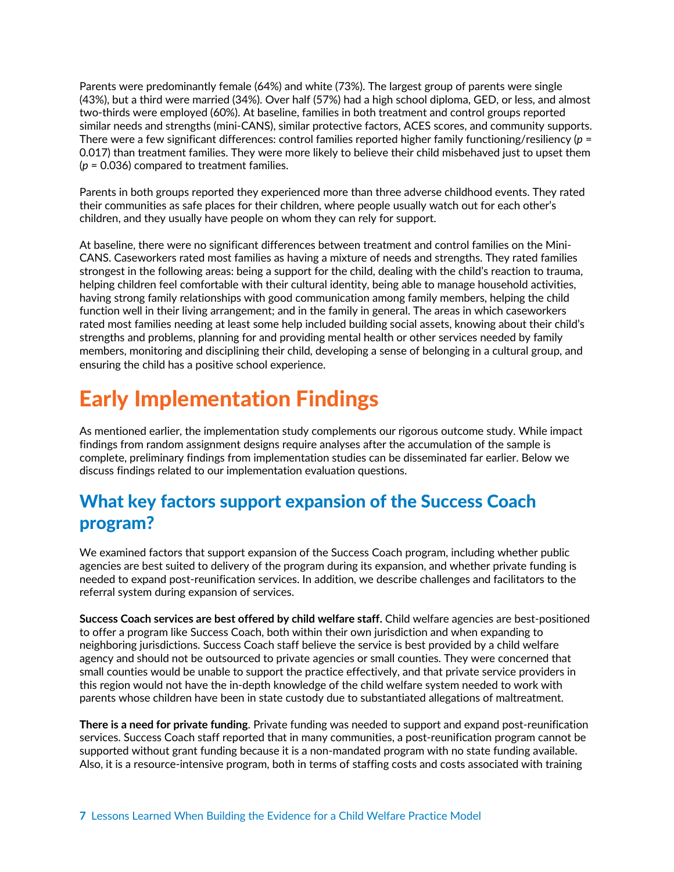Parents were predominantly female (64%) and white (73%). The largest group of parents were single (43%), but a third were married (34%). Over half (57%) had a high school diploma, GED, or less, and almost two-thirds were employed (60%). At baseline, families in both treatment and control groups reported similar needs and strengths (mini-CANS), similar protective factors, ACES scores, and community supports. There were a few significant differences: control families reported higher family functioning/resiliency (*p* = 0.017) than treatment families. They were more likely to believe their child misbehaved just to upset them (*p* = 0.036) compared to treatment families.

Parents in both groups reported they experienced more than three adverse childhood events. They rated their communities as safe places for their children, where people usually watch out for each other's children, and they usually have people on whom they can rely for support.

At baseline, there were no significant differences between treatment and control families on the Mini-CANS. Caseworkers rated most families as having a mixture of needs and strengths. They rated families strongest in the following areas: being a support for the child, dealing with the child's reaction to trauma, helping children feel comfortable with their cultural identity, being able to manage household activities, having strong family relationships with good communication among family members, helping the child function well in their living arrangement; and in the family in general. The areas in which caseworkers rated most families needing at least some help included building social assets, knowing about their child's strengths and problems, planning for and providing mental health or other services needed by family members, monitoring and disciplining their child, developing a sense of belonging in a cultural group, and ensuring the child has a positive school experience.

## Early Implementation Findings

As mentioned earlier, the implementation study complements our rigorous outcome study. While impact findings from random assignment designs require analyses after the accumulation of the sample is complete, preliminary findings from implementation studies can be disseminated far earlier. Below we discuss findings related to our implementation evaluation questions.

### What key factors support expansion of the Success Coach program?

We examined factors that support expansion of the Success Coach program, including whether public agencies are best suited to delivery of the program during its expansion, and whether private funding is needed to expand post-reunification services. In addition, we describe challenges and facilitators to the referral system during expansion of services.

**Success Coach services are best offered by child welfare staff.** Child welfare agencies are best-positioned to offer a program like Success Coach, both within their own jurisdiction and when expanding to neighboring jurisdictions. Success Coach staff believe the service is best provided by a child welfare agency and should not be outsourced to private agencies or small counties. They were concerned that small counties would be unable to support the practice effectively, and that private service providers in this region would not have the in-depth knowledge of the child welfare system needed to work with parents whose children have been in state custody due to substantiated allegations of maltreatment.

**There is a need for private funding**. Private funding was needed to support and expand post-reunification services. Success Coach staff reported that in many communities, a post-reunification program cannot be supported without grant funding because it is a non-mandated program with no state funding available. Also, it is a resource-intensive program, both in terms of staffing costs and costs associated with training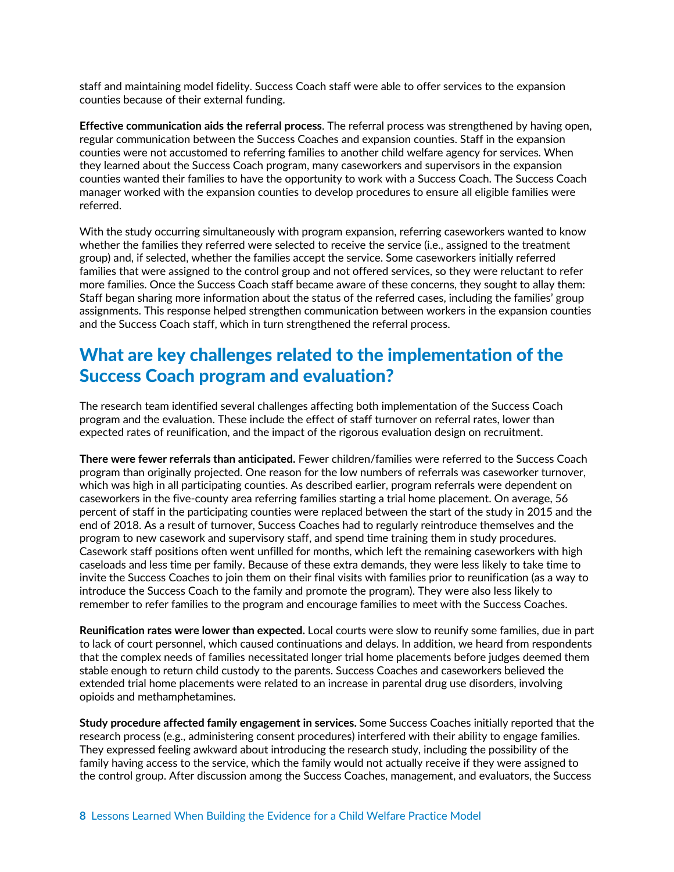staff and maintaining model fidelity. Success Coach staff were able to offer services to the expansion counties because of their external funding.

**Effective communication aids the referral process**. The referral process was strengthened by having open, regular communication between the Success Coaches and expansion counties. Staff in the expansion counties were not accustomed to referring families to another child welfare agency for services. When they learned about the Success Coach program, many caseworkers and supervisors in the expansion counties wanted their families to have the opportunity to work with a Success Coach. The Success Coach manager worked with the expansion counties to develop procedures to ensure all eligible families were referred.

With the study occurring simultaneously with program expansion, referring caseworkers wanted to know whether the families they referred were selected to receive the service (i.e., assigned to the treatment group) and, if selected, whether the families accept the service. Some caseworkers initially referred families that were assigned to the control group and not offered services, so they were reluctant to refer more families. Once the Success Coach staff became aware of these concerns, they sought to allay them: Staff began sharing more information about the status of the referred cases, including the families' group assignments. This response helped strengthen communication between workers in the expansion counties and the Success Coach staff, which in turn strengthened the referral process.

### What are key challenges related to the implementation of the Success Coach program and evaluation?

The research team identified several challenges affecting both implementation of the Success Coach program and the evaluation. These include the effect of staff turnover on referral rates, lower than expected rates of reunification, and the impact of the rigorous evaluation design on recruitment.

**There were fewer referrals than anticipated.** Fewer children/families were referred to the Success Coach program than originally projected. One reason for the low numbers of referrals was caseworker turnover, which was high in all participating counties. As described earlier, program referrals were dependent on caseworkers in the five-county area referring families starting a trial home placement. On average, 56 percent of staff in the participating counties were replaced between the start of the study in 2015 and the end of 2018. As a result of turnover, Success Coaches had to regularly reintroduce themselves and the program to new casework and supervisory staff, and spend time training them in study procedures. Casework staff positions often went unfilled for months, which left the remaining caseworkers with high caseloads and less time per family. Because of these extra demands, they were less likely to take time to invite the Success Coaches to join them on their final visits with families prior to reunification (as a way to introduce the Success Coach to the family and promote the program). They were also less likely to remember to refer families to the program and encourage families to meet with the Success Coaches.

**Reunification rates were lower than expected.** Local courts were slow to reunify some families, due in part to lack of court personnel, which caused continuations and delays. In addition, we heard from respondents that the complex needs of families necessitated longer trial home placements before judges deemed them stable enough to return child custody to the parents. Success Coaches and caseworkers believed the extended trial home placements were related to an increase in parental drug use disorders, involving opioids and methamphetamines.

**Study procedure affected family engagement in services.** Some Success Coaches initially reported that the research process (e.g., administering consent procedures) interfered with their ability to engage families. They expressed feeling awkward about introducing the research study, including the possibility of the family having access to the service, which the family would not actually receive if they were assigned to the control group. After discussion among the Success Coaches, management, and evaluators, the Success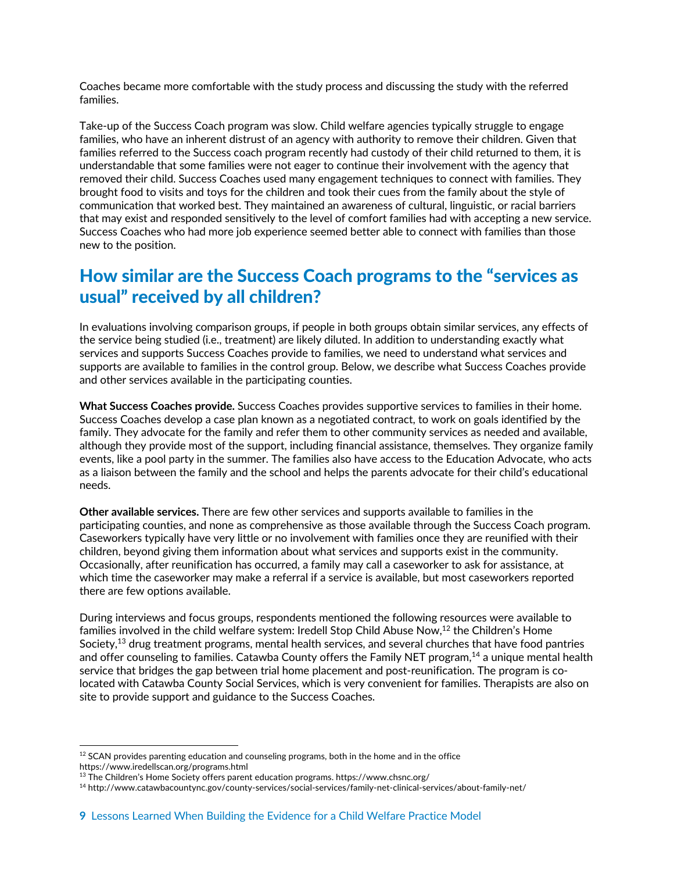Coaches became more comfortable with the study process and discussing the study with the referred families.

Take-up of the Success Coach program was slow. Child welfare agencies typically struggle to engage families, who have an inherent distrust of an agency with authority to remove their children. Given that families referred to the Success coach program recently had custody of their child returned to them, it is understandable that some families were not eager to continue their involvement with the agency that removed their child. Success Coaches used many engagement techniques to connect with families. They brought food to visits and toys for the children and took their cues from the family about the style of communication that worked best. They maintained an awareness of cultural, linguistic, or racial barriers that may exist and responded sensitively to the level of comfort families had with accepting a new service. Success Coaches who had more job experience seemed better able to connect with families than those new to the position.

### How similar are the Success Coach programs to the "services as usual" received by all children?

In evaluations involving comparison groups, if people in both groups obtain similar services, any effects of the service being studied (i.e., treatment) are likely diluted. In addition to understanding exactly what services and supports Success Coaches provide to families, we need to understand what services and supports are available to families in the control group. Below, we describe what Success Coaches provide and other services available in the participating counties.

**What Success Coaches provide.** Success Coaches provides supportive services to families in their home. Success Coaches develop a case plan known as a negotiated contract, to work on goals identified by the family. They advocate for the family and refer them to other community services as needed and available, although they provide most of the support, including financial assistance, themselves. They organize family events, like a pool party in the summer. The families also have access to the Education Advocate, who acts as a liaison between the family and the school and helps the parents advocate for their child's educational needs.

**Other available services.** There are few other services and supports available to families in the participating counties, and none as comprehensive as those available through the Success Coach program. Caseworkers typically have very little or no involvement with families once they are reunified with their children, beyond giving them information about what services and supports exist in the community. Occasionally, after reunification has occurred, a family may call a caseworker to ask for assistance, at which time the caseworker may make a referral if a service is available, but most caseworkers reported there are few options available.

During interviews and focus groups, respondents mentioned the following resources were available to families involved in the child welfare system: Iredell Stop Child Abuse Now, <sup>12</sup> the Children's Home Society, <sup>13</sup> drug treatment programs, mental health services, and several churches that have food pantries and offer counseling to families. Catawba County offers the Family NET program, <sup>14</sup> a unique mental health service that bridges the gap between trial home placement and post-reunification. The program is colocated with Catawba County Social Services, which is very convenient for families. Therapists are also on site to provide support and guidance to the Success Coaches.

 $12$  SCAN provides parenting education and counseling programs, both in the home and in the office https://www.iredellscan.org/programs.html

 $13$  The Children's Home Society offers parent education programs. https://www.chsnc.org/

<sup>14</sup> http://www.catawbacountync.gov/county-services/social-services/family-net-clinical-services/about-family-net/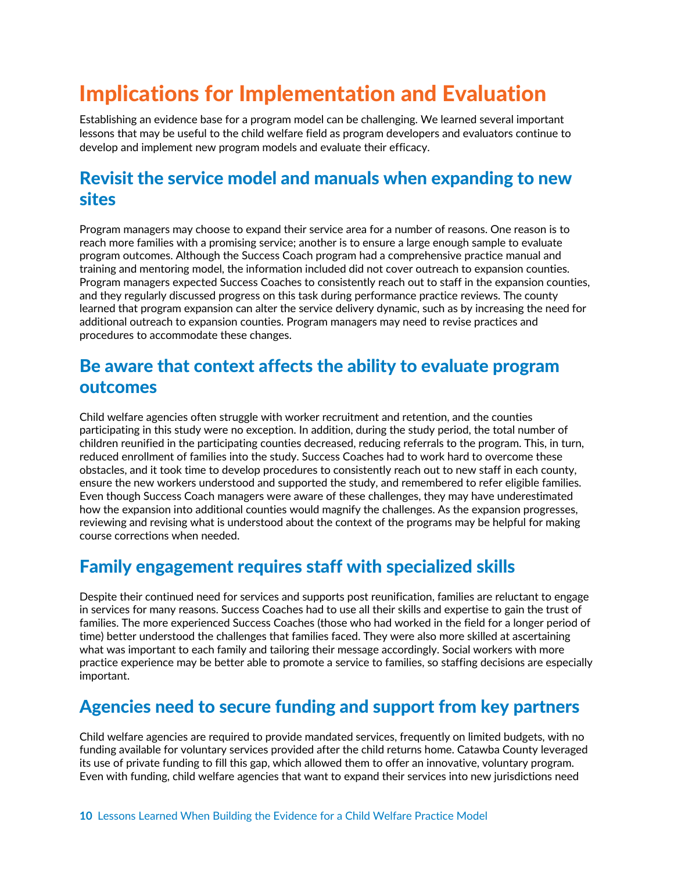## Implications for Implementation and Evaluation

Establishing an evidence base for a program model can be challenging. We learned several important lessons that may be useful to the child welfare field as program developers and evaluators continue to develop and implement new program models and evaluate their efficacy.

### Revisit the service model and manuals when expanding to new sites

Program managers may choose to expand their service area for a number of reasons. One reason is to reach more families with a promising service; another is to ensure a large enough sample to evaluate program outcomes. Although the Success Coach program had a comprehensive practice manual and training and mentoring model, the information included did not cover outreach to expansion counties. Program managers expected Success Coaches to consistently reach out to staff in the expansion counties, and they regularly discussed progress on this task during performance practice reviews. The county learned that program expansion can alter the service delivery dynamic, such as by increasing the need for additional outreach to expansion counties. Program managers may need to revise practices and procedures to accommodate these changes.

### Be aware that context affects the ability to evaluate program outcomes

Child welfare agencies often struggle with worker recruitment and retention, and the counties participating in this study were no exception. In addition, during the study period, the total number of children reunified in the participating counties decreased, reducing referrals to the program. This, in turn, reduced enrollment of families into the study. Success Coaches had to work hard to overcome these obstacles, and it took time to develop procedures to consistently reach out to new staff in each county, ensure the new workers understood and supported the study, and remembered to refer eligible families. Even though Success Coach managers were aware of these challenges, they may have underestimated how the expansion into additional counties would magnify the challenges. As the expansion progresses, reviewing and revising what is understood about the context of the programs may be helpful for making course corrections when needed.

### Family engagement requires staff with specialized skills

Despite their continued need for services and supports post reunification, families are reluctant to engage in services for many reasons. Success Coaches had to use all their skills and expertise to gain the trust of families. The more experienced Success Coaches (those who had worked in the field for a longer period of time) better understood the challenges that families faced. They were also more skilled at ascertaining what was important to each family and tailoring their message accordingly. Social workers with more practice experience may be better able to promote a service to families, so staffing decisions are especially important.

### Agencies need to secure funding and support from key partners

Child welfare agencies are required to provide mandated services, frequently on limited budgets, with no funding available for voluntary services provided after the child returns home. Catawba County leveraged its use of private funding to fill this gap, which allowed them to offer an innovative, voluntary program. Even with funding, child welfare agencies that want to expand their services into new jurisdictions need